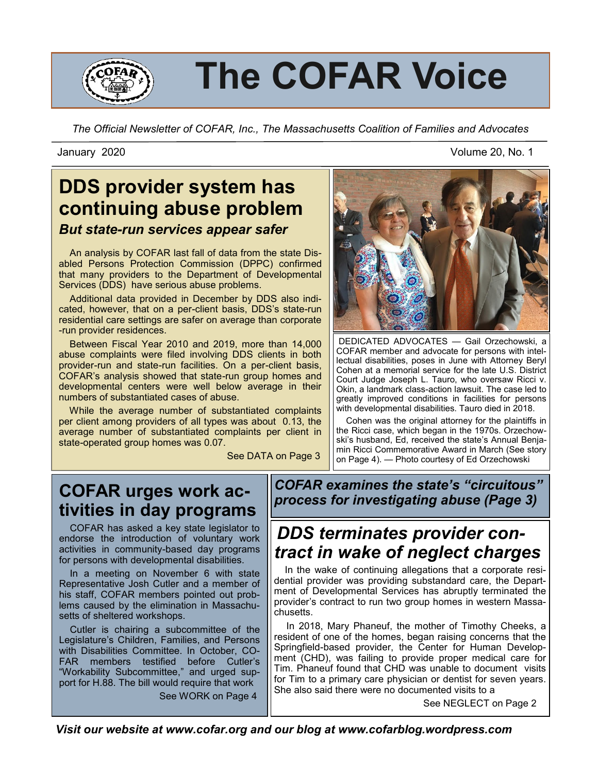

# **The COFAR Voice**

*The Official Newsletter of COFAR, Inc., The Massachusetts Coalition of Families and Advocates*

#### January 2020 Volume 20, No. 1

## **DDS provider system has continuing abuse problem** *But state-run services appear safer*

 An analysis by COFAR last fall of data from the state Disabled Persons Protection Commission (DPPC) confirmed that many providers to the Department of Developmental Services (DDS) have serious abuse problems.

 Additional data provided in December by DDS also indicated, however, that on a per-client basis, DDS's state-run residential care settings are safer on average than corporate -run provider residences.

 Between Fiscal Year 2010 and 2019, more than 14,000 abuse complaints were filed involving DDS clients in both provider-run and state-run facilities. On a per-client basis, COFAR's analysis showed that state-run group homes and developmental centers were well below average in their numbers of substantiated cases of abuse.

 While the average number of substantiated complaints per client among providers of all types was about 0.13, the average number of substantiated complaints per client in state-operated group homes was 0.07.

See DATA on Page 3



DEDICATED ADVOCATES — Gail Orzechowski, a COFAR member and advocate for persons with intellectual disabilities, poses in June with Attorney Beryl Cohen at a memorial service for the late U.S. District Court Judge Joseph L. Tauro, who oversaw Ricci v. Okin, a landmark class-action lawsuit. The case led to greatly improved conditions in facilities for persons with developmental disabilities. Tauro died in 2018.

 Cohen was the original attorney for the plaintiffs in the Ricci case, which began in the 1970s. Orzechowski's husband, Ed, received the state's Annual Benjamin Ricci Commemorative Award in March (See story on Page 4). — Photo courtesy of Ed Orzechowski

#### **COFAR urges work activities in day programs**

 COFAR has asked a key state legislator to endorse the introduction of voluntary work activities in community-based day programs for persons with developmental disabilities.

 In a meeting on November 6 with state Representative Josh Cutler and a member of his staff, COFAR members pointed out problems caused by the elimination in Massachusetts of sheltered workshops.

 Cutler is chairing a subcommittee of the Legislature's Children, Families, and Persons with Disabilities Committee. In October, CO-FAR members testified before Cutler's "Workability Subcommittee," and urged support for H.88. The bill would require that work

See WORK on Page 4

*COFAR examines the state's "circuitous" process for investigating abuse (Page 3)*

## *DDS terminates provider contract in wake of neglect charges*

 In the wake of continuing allegations that a corporate residential provider was providing substandard care, the Department of Developmental Services has abruptly terminated the provider's contract to run two group homes in western Massachusetts.

 In 2018, Mary Phaneuf, the mother of Timothy Cheeks, a resident of one of the homes, began raising concerns that the Springfield-based provider, the Center for Human Development (CHD), was failing to provide proper medical care for Tim. Phaneuf found that CHD was unable to document visits for Tim to a primary care physician or dentist for seven years. She also said there were no documented visits to a

See NEGLECT on Page 2

*Visit our website at www.cofar.org and our blog at www.cofarblog.wordpress.com*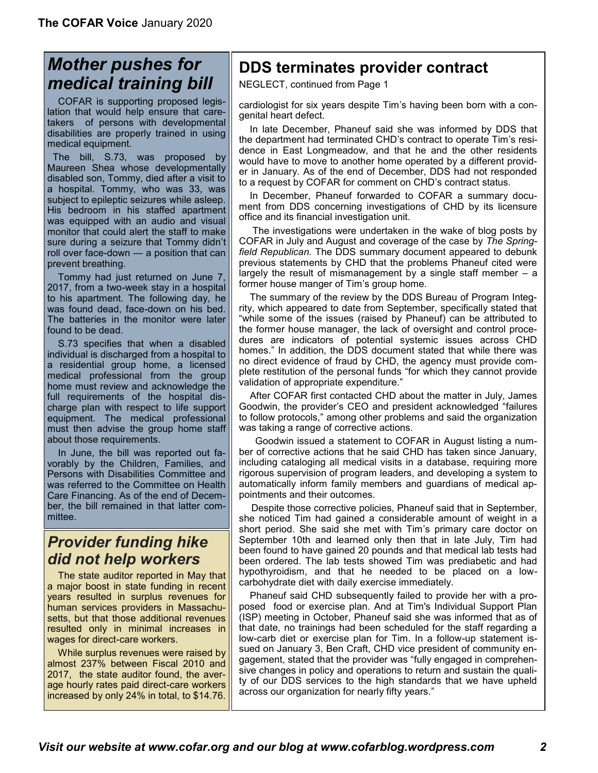## *Mother pushes for medical training bill*

 COFAR is supporting proposed legislation that would help ensure that caretakers of persons with developmental disabilities are properly trained in using medical equipment.

 The bill, S.73, was proposed by Maureen Shea whose developmentally disabled son, Tommy, died after a visit to a hospital. Tommy, who was 33, was subject to epileptic seizures while asleep. His bedroom in his staffed apartment was equipped with an audio and visual monitor that could alert the staff to make sure during a seizure that Tommy didn't roll over face-down — a position that can prevent breathing.

 Tommy had just returned on June 7, 2017, from a two-week stay in a hospital to his apartment. The following day, he was found dead, face-down on his bed. The batteries in the monitor were later found to be dead.

 [S.73](https://malegislature.gov/Bills/191/SD1176) specifies that when a disabled individual is discharged from a hospital to a residential group home, a licensed medical professional from the group home must review and acknowledge the full requirements of the hospital discharge plan with respect to life support equipment. The medical professional must then advise the group home staff about those requirements.

 In June, the bill was reported out favorably by the Children, Families, and Persons with Disabilities Committee and was referred to the Committee on Health Care Financing. As of the end of December, the bill remained in that latter committee.

#### *Provider funding hike did not help workers*

 The state auditor reported in May that a major boost in state funding in recent years resulted in surplus revenues for human services providers in Massachusetts, but that those additional revenues resulted only in minimal increases in wages for direct-care workers.

 While surplus revenues were raised by almost 237% between Fiscal 2010 and 2017, the state auditor found, the average hourly rates paid direct-care workers increased by only 24% in total, to \$14.76.

#### **DDS terminates provider contract**

NEGLECT, continued from Page 1

cardiologist for six years despite Tim's having been born with a congenital heart defect.

 In late December, Phaneuf said she was informed by DDS that the department had terminated CHD's contract to operate Tim's residence in East Longmeadow, and that he and the other residents would have to move to another home operated by a different provider in January. As of the end of December, DDS had not responded to a request by COFAR for comment on CHD's contract status.

 In December, Phaneuf forwarded to COFAR a summary document from DDS concerning investigations of CHD by its licensure office and its financial investigation unit.

 The investigations were undertaken in the wake of blog posts by COFAR in July and August and coverage of the case by *The Springfield Republican.* The DDS summary document appeared to debunk previous statements by CHD that the problems Phaneuf cited were largely the result of mismanagement by a single staff member – a former house manger of Tim's group home.

 The summary of the review by the DDS Bureau of Program Integrity, which appeared to date from September, specifically stated that "while some of the issues (raised by Phaneuf) can be attributed to the former house manager, the lack of oversight and control procedures are indicators of potential systemic issues across CHD homes." In addition, the DDS document stated that while there was no direct evidence of fraud by CHD, the agency must provide complete restitution of the personal funds "for which they cannot provide validation of appropriate expenditure."

 After COFAR first contacted CHD about the matter in July, James Goodwin, the provider's CEO and president acknowledged "failures to follow protocols," among other problems and said the organization was taking a range of corrective actions.

 Goodwin issued a statement to COFAR in August listing a number of corrective actions that he said CHD has taken since January, including cataloging all medical visits in a database, requiring more rigorous supervision of program leaders, and developing a system to automatically inform family members and guardians of medical appointments and their outcomes.

 Despite those corrective policies, Phaneuf said that in September, she noticed Tim had gained a considerable amount of weight in a short period. She said she met with Tim's primary care doctor on September 10th and learned only then that in late July, Tim had been found to have gained 20 pounds and that medical lab tests had been ordered. The lab tests showed Tim was prediabetic and had hypothyroidism, and that he needed to be placed on a lowcarbohydrate diet with daily exercise immediately.

 Phaneuf said CHD subsequently failed to provide her with a proposed food or exercise plan. And at Tim's Individual Support Plan (ISP) meeting in October, Phaneuf said she was informed that as of that date, no trainings had been scheduled for the staff regarding a low-carb diet or exercise plan for Tim. In a follow-up statement issued on January 3, Ben Craft, CHD vice president of community engagement, stated that the provider was "fully engaged in comprehensive changes in policy and operations to return and sustain the quality of our DDS services to the high standards that we have upheld across our organization for nearly fifty years."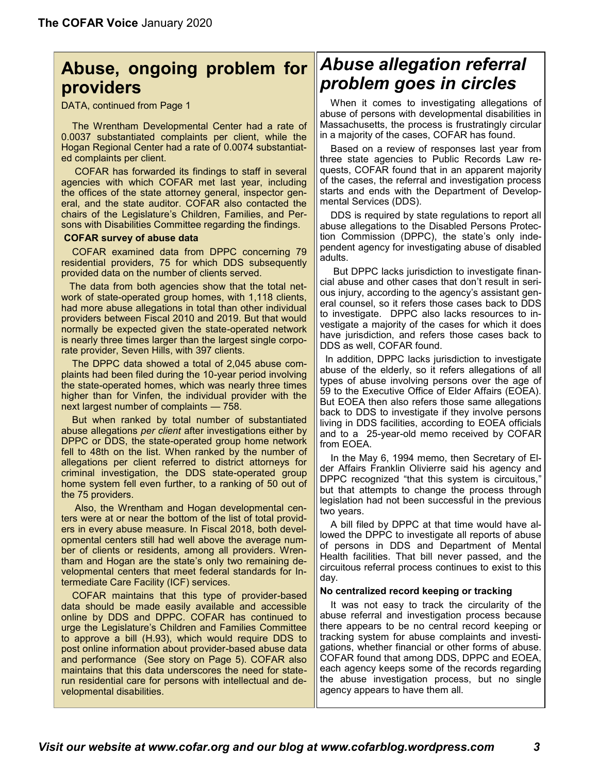#### **Abuse, ongoing problem for providers**

DATA, continued from Page 1

 The Wrentham Developmental Center had a rate of 0.0037 substantiated complaints per client, while the Hogan Regional Center had a rate of 0.0074 substantiated complaints per client.

 COFAR has forwarded its findings to staff in several agencies with which COFAR met last year, including the offices of the state attorney general, inspector general, and the state auditor. COFAR also contacted the chairs of the Legislature's Children, Families, and Persons with Disabilities Committee regarding the findings.

#### **COFAR survey of abuse data**

 COFAR examined data from DPPC concerning 79 residential providers, 75 for which DDS subsequently provided data on the number of clients served.

 The data from both agencies show that the total network of state-operated group homes, with 1,118 clients, had more abuse allegations in total than other individual providers between Fiscal 2010 and 2019. But that would normally be expected given the state-operated network is nearly three times larger than the largest single corporate provider, Seven Hills, with 397 clients.

 The DPPC data showed a total of 2,045 abuse complaints had been filed during the 10-year period involving the state-operated homes, which was nearly three times higher than for Vinfen, the individual provider with the next largest number of complaints — 758.

 But when ranked by total number of substantiated abuse allegations *per client* after investigations either by DPPC or DDS, the state-operated group home network fell to 48th on the list. When ranked by the number of allegations per client referred to district attorneys for criminal investigation, the DDS state-operated group home system fell even further, to a ranking of 50 out of the 75 providers.

 Also, the Wrentham and Hogan developmental centers were at or near the bottom of the list of total providers in every abuse measure. In Fiscal 2018, both developmental centers still had well above the average number of clients or residents, among all providers. Wrentham and Hogan are the state's only two remaining developmental centers that meet federal standards for Intermediate Care Facility (ICF) services.

 COFAR maintains that this type of provider-based data should be made easily available and accessible online by DDS and DPPC. COFAR has continued to urge the Legislature's Children and Families Committee to approve a bill ([H.93\)](https://malegislature.gov/Bills/191/H93), which would require DDS to post online information about provider-based abuse data and performance (See story on Page 5). COFAR also maintains that this data underscores the need for staterun residential care for persons with intellectual and developmental disabilities.

## *Abuse allegation referral problem goes in circles*

 When it comes to investigating allegations of abuse of persons with developmental disabilities in Massachusetts, the process is frustratingly circular in a majority of the cases, COFAR has found.

 Based on a review of responses last year from three state agencies to Public Records Law requests, COFAR found that in an apparent majority of the cases, the referral and investigation process starts and ends with the Department of Developmental Services (DDS).

 DDS is required by state regulations to report all abuse allegations to the Disabled Persons Protection Commission (DPPC), the state's only independent agency for investigating abuse of disabled adults.

 But DPPC lacks jurisdiction to investigate financial abuse and other cases that don't result in serious injury, according to the agency's assistant general counsel, so it refers those cases back to DDS to investigate. DPPC also lacks resources to investigate a majority of the cases for which it does have jurisdiction, and refers those cases back to DDS as well, COFAR found.

In addition, DPPC lacks jurisdiction to investigate abuse of the elderly, so it refers allegations of all types of abuse involving persons over the age of 59 to the Executive Office of Elder Affairs (EOEA). But EOEA then also refers those same allegations back to DDS to investigate if they involve persons living in DDS facilities, according to EOEA officials and to a 25-year-old memo received by COFAR from EOEA.

 In the May 6, 1994 memo, then Secretary of Elder Affairs Franklin Olivierre said his agency and DPPC recognized "that this system is circuitous," but that attempts to change the process through legislation had not been successful in the previous two years.

 A bill filed by DPPC at that time would have allowed the DPPC to investigate all reports of abuse of persons in DDS and Department of Mental Health facilities. That bill never passed, and the circuitous referral process continues to exist to this day.

#### **No centralized record keeping or tracking**

 It was not easy to track the circularity of the abuse referral and investigation process because there appears to be no central record keeping or tracking system for abuse complaints and investigations, whether financial or other forms of abuse. COFAR found that among DDS, DPPC and EOEA, each agency keeps some of the records regarding the abuse investigation process, but no single agency appears to have them all.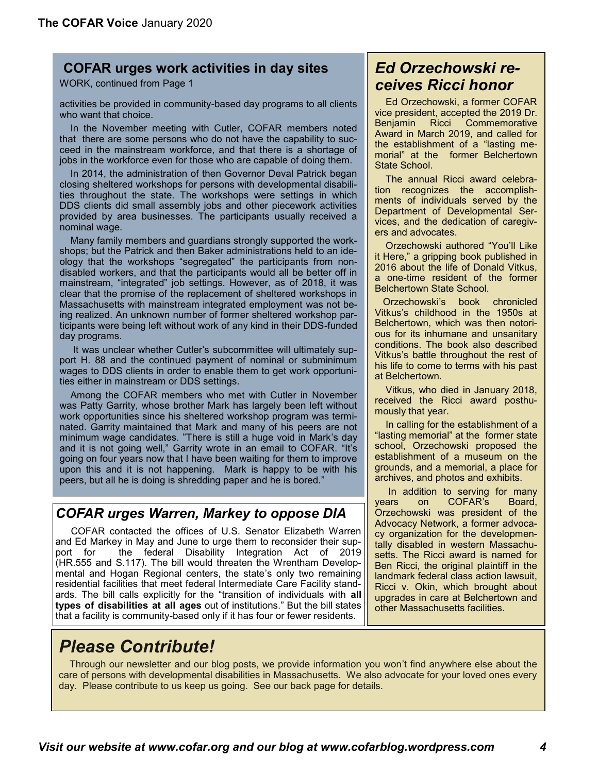#### **COFAR urges work activities in day sites**

WORK, continued from Page 1

activities be provided in community-based day programs to all clients who want that choice.

 In the November meeting with Cutler, COFAR members noted that there are some persons who do not have the capability to succeed in the mainstream workforce, and that there is a shortage of jobs in the workforce even for those who are capable of doing them.

 In 2014, the administration of then Governor Deval Patrick began closing sheltered workshops for persons with developmental disabilities throughout the state. The workshops were settings in which DDS clients did small assembly jobs and other piecework activities provided by area businesses. The participants usually received a nominal wage.

 Many family members and guardians strongly supported the workshops; but the Patrick and then Baker administrations held to an ideology that the workshops "segregated" the participants from nondisabled workers, and that the participants would all be better off in mainstream, "integrated" job settings. However, as of 2018, it was clear that the promise of the replacement of sheltered workshops in Massachusetts with mainstream integrated employment [was not be](https://cofarblog.wordpress.com/2018/08/16/confusion-reigns-over-employment-of-the-developmentally-disabled-in-massachusetts/)[ing realized.](https://cofarblog.wordpress.com/2018/08/16/confusion-reigns-over-employment-of-the-developmentally-disabled-in-massachusetts/) An unknown number of former sheltered workshop participants were being left without work of any kind in their DDS-funded day programs.

 It was unclear whether Cutler's subcommittee will ultimately support H. 88 and the continued payment of nominal or subminimum wages to DDS clients in order to enable them to get work opportunities either in mainstream or DDS settings.

 Among the COFAR members who met with Cutler in November was Patty Garrity, whose brother Mark has largely been left without work opportunities since his sheltered workshop program was terminated. Garrity maintained that Mark and many of his peers are not minimum wage candidates. "There is still a huge void in Mark's day and it is not going well," Garrity wrote in an email to COFAR. "It's going on four years now that I have been waiting for them to improve upon this and it is not happening. Mark is happy to be with his peers, but all he is doing is shredding paper and he is bored."

#### *COFAR urges Warren, Markey to oppose DIA*

COFAR contacted the offices of U.S. Senator Elizabeth Warren and Ed Markey in May and June to urge them to reconsider their support for the federal Disability Integration Act of 2019 [\(HR.555](https://www.congress.gov/bill/116th-congress/house-bill/555) and [S.117\).](https://www.congress.gov/bill/116th-congress/senate-bill/117) The bill would threaten the Wrentham Developmental and Hogan Regional centers, the state's only two remaining residential facilities that meet federal Intermediate Care Facility standards. The bill calls explicitly for the "transition of individuals with **all types of disabilities at all ages** out of institutions." But the bill states that a facility is community-based only if it has four or fewer residents.

#### *Ed Orzechowski receives Ricci honor*

 Ed Orzechowski, a former COFAR vice president, accepted the 2019 Dr. Benjamin Ricci Commemorative Award in March 2019, and called for the establishment of a "lasting memorial" at the former Belchertown State School.

 The annual Ricci award celebration recognizes the accomplishments of individuals served by the Department of Developmental Services, and the dedication of caregivers and advocates.

 Orzechowski authored "You'[ll Like](https://levellerspress.com/product/youll-like-it-here/)  [it Here,](https://levellerspress.com/product/youll-like-it-here/)" a gripping book published in 2016 about the life of Donald Vitkus, a one-time resident of the former Belchertown State School.

 Orzechowski's book [chronicled](https://cofarblog.wordpress.com/2016/10/27/a-gritty-new-book-on-a-survivor-of-belchertown-state-school/)  Vitkus'[s childhood in the 1950s at](https://cofarblog.wordpress.com/2016/10/27/a-gritty-new-book-on-a-survivor-of-belchertown-state-school/)  [Belchertown,](https://cofarblog.wordpress.com/2016/10/27/a-gritty-new-book-on-a-survivor-of-belchertown-state-school/) which was then notorious for its inhumane and unsanitary conditions. The book also described Vitkus's battle throughout the rest of his life to come to terms with his past at Belchertown.

 Vitkus, who died in January 2018, received the Ricci award posthumously that year.

 In calling for the establishment of a "lasting memorial" at the former state school, Orzechowski proposed the establishment of a museum on the grounds, and a memorial, a place for archives, and photos and exhibits.

 In addition to serving for many years on COFAR's Board, Orzechowski was president of the Advocacy Network, a former advocacy organization for the developmentally disabled in western Massachusetts. The Ricci award is named for Ben Ricci, the original plaintiff in the landmark federal class action lawsuit, Ricci v. Okin, which brought about upgrades in care at Belchertown and other Massachusetts facilities.

## *Please Contribute!*

 Through our newsletter and our blog posts, we provide information you won't find anywhere else about the care of persons with developmental disabilities in Massachusetts. We also advocate for your loved ones every day. Please contribute to us keep us going. See our back page for details.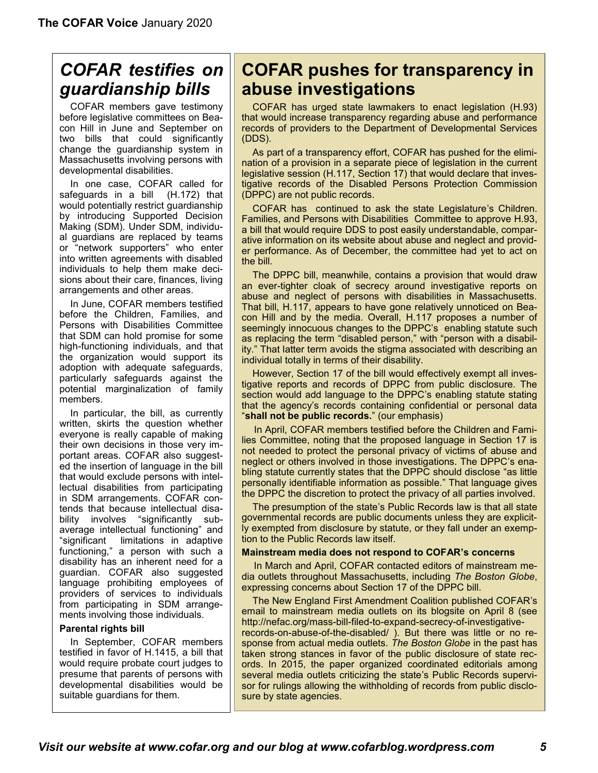# *COFAR testifies on guardianship bills*

 COFAR members gave testimony before legislative committees on Beacon Hill in June and September on two bills that could significantly change the guardianship system in Massachusetts involving persons with developmental disabilities.

 In one case, COFAR called for safeguards in a bill (H.172) that would potentially restrict guardianship by introducing Supported Decision Making (SDM). Under SDM, individual guardians are replaced by teams or "network supporters" who enter into written agreements with disabled individuals to help them make decisions about their care, finances, living arrangements and other areas.

 In June, COFAR members testified before the Children, Families, and Persons with Disabilities Committee that SDM can hold promise for some high-functioning individuals, and that the organization would support its adoption with adequate safeguards, particularly safeguards against the potential marginalization of family members.

 In particular, the bill, as currently written, skirts the question whether everyone is really capable of making their own decisions in those very important areas. COFAR also suggested the insertion of language in the bill that would exclude persons with intellectual disabilities from participating in SDM arrangements. COFAR contends that because intellectual disability involves "significantly subaverage intellectual functioning" and "significant limitations in adaptive functioning," a person with such a disability has an inherent need for a guardian. COFAR also suggested language prohibiting employees of providers of services to individuals from participating in SDM arrangements involving those individuals.

#### **Parental rights bill**

In September, COFAR members testified in favor of H.1415, a bill that would require probate court judges to presume that parents of persons with developmental disabilities would be suitable guardians for them.

## **COFAR pushes for transparency in abuse investigations**

COFAR has urged state lawmakers to enact legislation (H.93) that would increase transparency regarding abuse and performance records of providers to the Department of Developmental Services (DDS).

 As part of a transparency effort, COFAR has pushed for the elimination of a provision in a separate piece of legislation in the current legislative session (H.117, Section 17) that would declare that investigative records of the Disabled Persons Protection Commission (DPPC) are not public records.

 COFAR has continued to ask the state Legislature's Children. Families, and Persons with Disabilities Committee [to approve H.93,](https://cofarblog.wordpress.com/2019/09/19/nearly-inaccessible-dppc-data-illustrates-widely-varying-abuse-problem-among-group-home-providers/)  a bill that would require DDS to post easily understandable, comparative information on its website about abuse and neglect and provider performance. As of December, the committee had yet to act on the bill.

 The DPPC bill, meanwhile, contains a provision that would draw an ever-tighter cloak of secrecy around investigative reports on abuse and neglect of persons with disabilities in Massachusetts. That bill, [H.117,](https://malegislature.gov/Bills/Search?SearchTerms=H.117) appears to have gone relatively unnoticed on Beacon Hill and by the media. Overall, H.117 proposes a number of seemingly innocuous changes to the DPPC's [enabling statute](https://malegislature.gov/Laws/GeneralLaws/PartI/TitleII/Chapter19C/Section3) such as replacing the term "disabled person," with "person with a disability." That latter term avoids the stigma associated with describing an individual totally in terms of their disability.

 However, Section 17 of the bill would effectively exempt all investigative reports and records of DPPC from public disclosure. The section would add language to the DPPC's enabling statute stating that the agency's records containing confidential or personal data "**shall not be public records.**" (our emphasis)

 In April, COFAR members testified before the Children and Families Committee, noting that the proposed language in Section 17 is not needed to protect the personal privacy of victims of abuse and neglect or others involved in those investigations. The DPPC's enabling statute currently states that the DPPC should disclose "as little personally identifiable information as possible." That language gives the DPPC the discretion to protect the privacy of all parties involved.

 The presumption of the state's Public Records law is that all state governmental records are public documents unless they are explicitly exempted from disclosure by statute, or they fall under an exemption to the Public Records law itself.

#### **Mainstream media does not respond to COFAR's concerns**

In March and April, COFAR contacted editors of mainstream media outlets throughout Massachusetts, including *The Boston Globe*, expressing concerns about Section 17 of the DPPC bill.

 The New England First Amendment Coalition [published COFAR](http://nefac.org/mass-bill-filed-to-expand-secrecy-of-investigative-records-on-abuse-of-the-disabled/)'s [email to mainstream media outlets](http://nefac.org/mass-bill-filed-to-expand-secrecy-of-investigative-records-on-abuse-of-the-disabled/) on its blogsite on April 8 (see [http://nefac.org/mass](http://nefac.org/mass-bill-filed-to-expand-secrecy-of-investigative-records-on-abuse-of-the-disabled/)-bill-filed-to-expand-secrecy-of-investigativerecords-on-abuse-of-the-[disabled/](http://nefac.org/mass-bill-filed-to-expand-secrecy-of-investigative-records-on-abuse-of-the-disabled/) ). But there was little or no response from actual media outlets. *The Boston Globe* in the past has taken strong stances in favor of the public disclosure of state records. In 2015, the paper organized [coordinated editorials](https://www.bostonglobe.com/opinion/editorials/2015/03/13/with-mass-public-records-law-tatters-time-for-reform/bxvKeY9koA6himuTqBUJ5O/story.html) among several media outlets criticizing the state's Public Records supervisor for rulings allowing the withholding of records from public disclosure by state agencies.